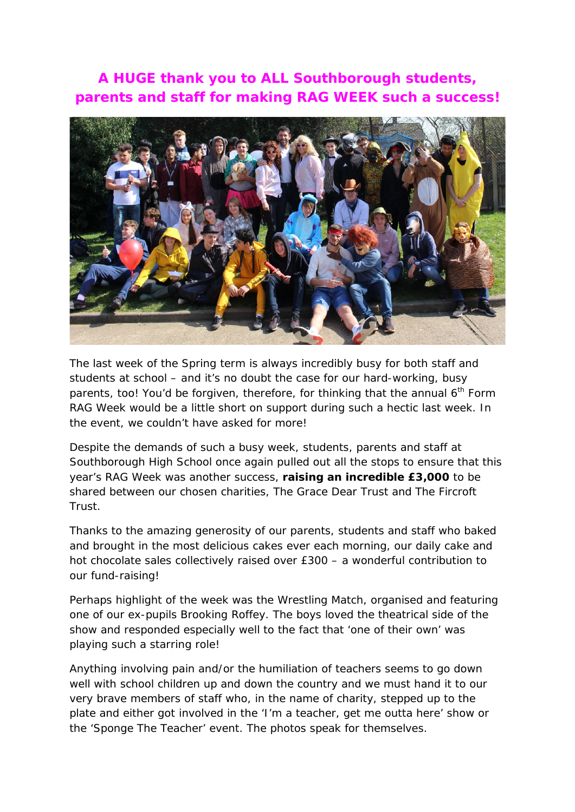## **A HUGE thank you to ALL Southborough students, parents and staff for making RAG WEEK such a success!**



The last week of the Spring term is always incredibly busy for both staff and students at school – and it's no doubt the case for our hard-working, busy parents, too! You'd be forgiven, therefore, for thinking that the annual  $6<sup>th</sup>$  Form RAG Week would be a little short on support during such a hectic last week. In the event, we couldn't have asked for more!

Despite the demands of such a busy week, students, parents and staff at Southborough High School once again pulled out all the stops to ensure that this year's RAG Week was another success, **raising an incredible £3,000** to be shared between our chosen charities, The Grace Dear Trust and The Fircroft Trust.

Thanks to the amazing generosity of our parents, students and staff who baked and brought in the most delicious cakes ever each morning, our daily cake and hot chocolate sales collectively raised over £300 – a wonderful contribution to our fund-raising!

Perhaps highlight of the week was the Wrestling Match, organised and featuring one of our ex-pupils Brooking Roffey. The boys loved the theatrical side of the show and responded especially well to the fact that 'one of their own' was playing such a starring role!

Anything involving pain and/or the humiliation of teachers seems to go down well with school children up and down the country and we must hand it to our very brave members of staff who, in the name of charity, stepped up to the plate and either got involved in the 'I'm a teacher, get me outta here' show or the 'Sponge The Teacher' event. The photos speak for themselves.